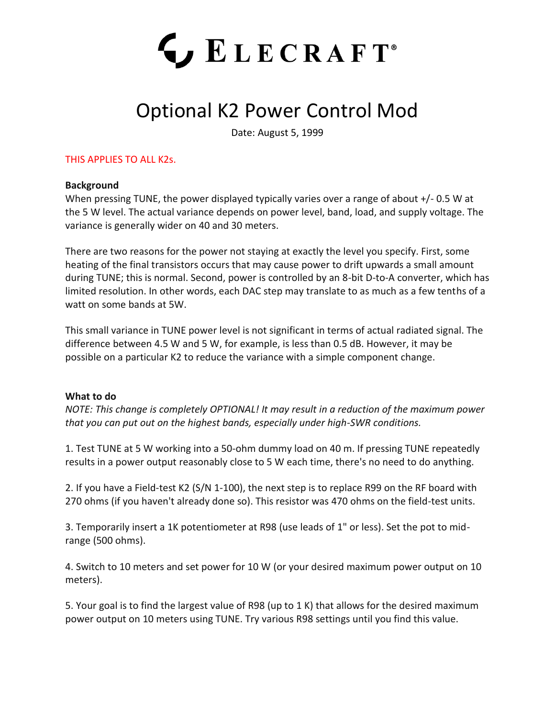# **LECRAFT**®

# Optional K2 Power Control Mod

Date: August 5, 1999

## THIS APPLIES TO ALL K2s.

### **Background**

When pressing TUNE, the power displayed typically varies over a range of about +/- 0.5 W at the 5 W level. The actual variance depends on power level, band, load, and supply voltage. The variance is generally wider on 40 and 30 meters.

There are two reasons for the power not staying at exactly the level you specify. First, some heating of the final transistors occurs that may cause power to drift upwards a small amount during TUNE; this is normal. Second, power is controlled by an 8-bit D-to-A converter, which has limited resolution. In other words, each DAC step may translate to as much as a few tenths of a watt on some bands at 5W.

This small variance in TUNE power level is not significant in terms of actual radiated signal. The difference between 4.5 W and 5 W, for example, is less than 0.5 dB. However, it may be possible on a particular K2 to reduce the variance with a simple component change.

### **What to do**

*NOTE: This change is completely OPTIONAL! It may result in a reduction of the maximum power that you can put out on the highest bands, especially under high-SWR conditions.*

1. Test TUNE at 5 W working into a 50-ohm dummy load on 40 m. If pressing TUNE repeatedly results in a power output reasonably close to 5 W each time, there's no need to do anything.

2. If you have a Field-test K2 (S/N 1-100), the next step is to replace R99 on the RF board with 270 ohms (if you haven't already done so). This resistor was 470 ohms on the field-test units.

3. Temporarily insert a 1K potentiometer at R98 (use leads of 1" or less). Set the pot to midrange (500 ohms).

4. Switch to 10 meters and set power for 10 W (or your desired maximum power output on 10 meters).

5. Your goal is to find the largest value of R98 (up to 1 K) that allows for the desired maximum power output on 10 meters using TUNE. Try various R98 settings until you find this value.